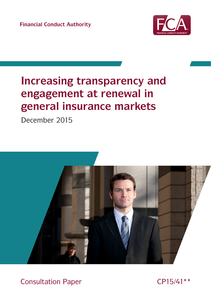**Financial Conduct Authority**



# **Increasing transparency and engagement at renewal in general insurance markets**

December 2015



Consultation Paper CP15/41\*\*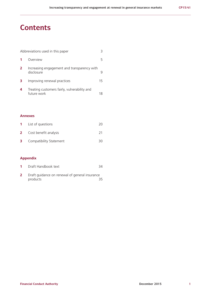## **Contents**

| Abbreviations used in this paper |                                                             |    |  |  |
|----------------------------------|-------------------------------------------------------------|----|--|--|
|                                  | Overview                                                    | ь  |  |  |
| $\overline{2}$                   | Increasing engagement and transparency with<br>disclosure   |    |  |  |
| 3                                | Improving renewal practices                                 | 15 |  |  |
|                                  | Treating customers fairly, vulnerability and<br>future work | 18 |  |  |

### **Annexes**

| $1 \quad$ | List of questions              | 20 |
|-----------|--------------------------------|----|
|           | <b>2</b> Cost benefit analysis |    |
| 3.        | Compatibility Statement        | 30 |

### **Appendix**

- **1** Draft Handbook text 34
- **2** Draft guidance on renewal of general insurance products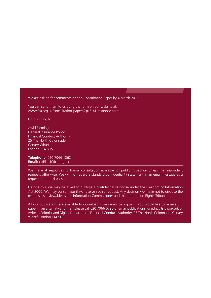We are asking for comments on this Consultation Paper by 4 March 2016.

You can send them to us using the form on our website at: [www.fca.org.uk/consultation-papers/cp15-41-response-form](http://www.fca.org.uk/consultation-papers/cp15-41-response-form)

Or in writing to:

Awhi Fleming General Insurance Policy Financial Conduct Authority 25 The North Colonnade Canary Wharf London E14 5HS

**Telephone:** 020 7066 1062 **Email:** [cp15-41@fca.org.uk](mailto:cp15-41@fca.org.uk)

We make all responses to formal consultation available for public inspection unless the respondent requests otherwise. We will not regard a standard confidentiality statement in an email message as a request for non-disclosure.

Despite this, we may be asked to disclose a confidential response under the Freedom of Information Act 2000. We may consult you if we receive such a request. Any decision we make not to disclose the response is reviewable by the Information Commissioner and the Information Rights Tribunal.

All our publications are available to download from www.fca.org.u[k. If](http://www.fca.org.uk) you would like to receive this paper in an alternative format, please call 020 7066 0790 or email publications\_graphics @fca.org.uk [or](mailto:@fca.org.uk) write to Editorial and Digital Department, Financial Conduct Authority, 25 The North Colonnade, Canary Wharf, London E14 5HS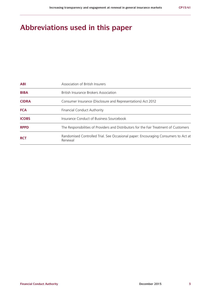# **Abbreviations used in this paper**

| <b>ABI</b>   | Association of British Insurers                                                               |
|--------------|-----------------------------------------------------------------------------------------------|
| <b>BIBA</b>  | <b>British Insurance Brokers Association</b>                                                  |
| <b>CIDRA</b> | Consumer Insurance (Disclosure and Representations) Act 2012                                  |
| <b>FCA</b>   | Financial Conduct Authority                                                                   |
| <b>ICOBS</b> | Insurance Conduct of Business Sourcebook                                                      |
| <b>RPPD</b>  | The Responsibilities of Providers and Distributors for the Fair Treatment of Customers        |
| <b>RCT</b>   | Randomised Controlled Trial. See Occasional paper: Encouraging Consumers to Act at<br>Renewal |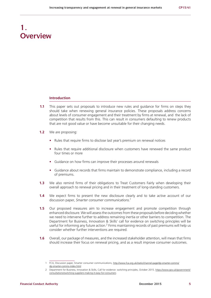# **1. Overview**

#### **Introduction**

- **1.1** This paper sets out proposals to introduce new rules and guidance for firms on steps they should take when renewing general insurance policies. These proposals address concerns about levels of consumer engagement and their treatment by firms at renewal, and the lack of competition that results from this. This can result in consumers defaulting to renew products that are not good value or have become unsuitable for their changing needs.
- **1.2** We are proposing:
	- **•** Rules that require firms to disclose last year's premium on renewal notices
	- **•** Rules that require additional disclosure when customers have renewed the same product four times or more
	- **•** Guidance on how firms can improve their processes around renewals
	- **•** Guidance about records that firms maintain to demonstrate compliance, including a record of premiums.
- **1.3** We also remind firms of their obligations to Treat Customers Fairly when developing their overall approach to renewal pricing and in their treatment of long-standing customers.
- **1.4** We expect firms to present the new disclosure clearly and to take active account of our discussion paper, *Smarter consumer communications.1*
- **1.5** Our proposed measures aim to increase engagement and promote competition through enhanced disclosure. We will assess the outcomes from these proposals before deciding whether we need to intervene further to address remaining inertia or other barriers to competition. The Department for Business, Innovation & Skills' call for evidence on switching principles will be useful for informing any future action.<sup>2</sup> Firms maintaining records of past premiums will help us consider whether further interventions are required.
- **1.6** Overall, our package of measures, and the increased stakeholder attention, will mean that firms should increase their focus on renewal pricing, and as a result improve consumer outcomes.

<sup>1</sup> FCA, Discussion paper, Smarter consumer communications, [http://www.fca.org.uk/static/channel-page/dp-smarter-comms/](http://www.fca.org.uk/static/channel-page/dp-smarter-comms/dp-smarter-comms-index.html) [dp-smarter-comms-index.html](http://www.fca.org.uk/static/channel-page/dp-smarter-comms/dp-smarter-comms-index.html)

<sup>2</sup> Department for Business, Innovation & Skills, Call for evidence: switching principles, October 2015. [https://www.gov.uk/government/](https://www.gov.uk/government/consultations/switching-suppliers-making-it-easy-for-consumers) [consultations/switching-suppliers-making-it-easy-for-consumers](https://www.gov.uk/government/consultations/switching-suppliers-making-it-easy-for-consumers)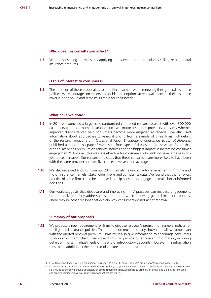#### **Who does this consultation affect?**

**1.7** We are consulting on measures applying to insurers and intermediaries selling retail general insurance products.

#### **Is this of interest to consumers?**

**1.8** The intention of these proposals is to benefit consumers when renewing their general insurance policies. We encourage consumers to consider their options at renewal to ensure their insurance cover is good value and remains suitable for their needs.

### **What have we done?**

- **1.9** In 2014 we launched a large scale randomised controlled research project with over 300,000 customers from one home insurance and two motor insurance providers to assess whether improved disclosure can help consumers become more engaged at renewal. We also used information about approaches to renewal pricing from a sample of three firms. Full details of the research project are in Occasional Paper, *Encouraging Consumers to Act at Renewal*, published alongside this paper.<sup>3</sup> We tested four types of disclosure. Of these, we found that putting last year's premium on renewal notices had the biggest impact in increasing consumer engagement.<sup>4</sup> However, this was less effective for consumers who did not have large year-onyear price increases. Our research indicates that these consumers are more likely to have been with the same provider for over five consecutive years on average.
- **1.10** We also reviewed findings from our 2013 thematic review of auto-renewal terms in home and motor insurance markets, stakeholder views and complaints data. We found that the renewals practice of some firms could be improved to help consumers engage and make better informed decisions.
- **1.11** Our work suggests that disclosure and improving firms' practices can increase engagement, but are unlikely to fully address consumer inertia when renewing general insurance policies. There may be other reasons that explain why consumers do not act at renewal.

#### **Summary of our proposals**

**1.12** We propose a new requirement for firms to disclose last year's premium on renewal notices for retail general insurance policies. The information must be clearly shown and allow comparison with the quoted renewal premium. Firms must also give information to encourage consumers to shop around and check their cover. Firms can provide other relevant information, including details of mid-term adjustments or the end of introductory discounts. However, this information must be in addition to the required disclosure and not obscure it.

<sup>3</sup> FCA, Occasional Paper no. 11, Encouraging Consumers to Act at Renewal, [http://fca.org.uk/news/occasional-paper-no-12](http://fca.org.uk/news/ocassional-paper-no-12)

<sup>4</sup> Disclosure tested: including last year's premium next to this year's premium in renewal notices; sending a leaflet with renewal notices i.e. a guide to shopping around or glossary of terms; simplifying renewal notices by using bullet points and simplifying language; and sending reminders two weeks after renewal notices are issued.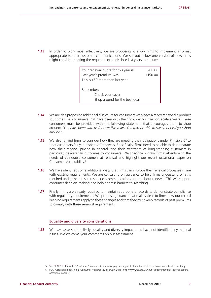**1.13** In order to work most effectively, we are proposing to allow firms to implement a format appropriate to their customer communications. We set out below one version of how firms might consider meeting the requirement to disclose last years' premium:

| Your renewal quote for this year is: | £200.00 |  |  |
|--------------------------------------|---------|--|--|
| Last year's premium was:             | £150.00 |  |  |
| This is £50 more than last year.     |         |  |  |
|                                      |         |  |  |
| Remember:                            |         |  |  |
| Check your cover                     |         |  |  |
| Shop around for the best deal        |         |  |  |

- **1.14** We are also proposing additional disclosure for consumers who have already renewed a product four times, i.e. consumers that have been with their provider for five consecutive years. These consumers must be provided with the following statement that encourages them to shop around: *"You have been with us for over five years. You may be able to save money if you shop around"*.
- **1.15** We also remind firms to consider how they are meeting their obligations under Principle 6<sup>5</sup> to treat customers fairly in respect of renewals. Specifically, firms need to be able to demonstrate how their renewal pricing in general, and their treatment of long-standing customers in particular, delivers fair outcomes to consumers. We specifically draw firms' attention to the needs of vulnerable consumers at renewal and highlight our recent occasional paper on Consumer Vulnerability.6
- **1.16** We have identified some additional ways that firms can improve their renewal processes in line with existing requirements. We are consulting on guidance to help firms understand what is required under the rules in respect of communications at and about renewal. This will support consumer decision-making and help address barriers to switching.
- **1.17** Finally, firms are already required to maintain appropriate records to demonstrate compliance with regulatory requirements. We propose guidance that makes clear to firms how our record keeping requirements apply to these changes and that they must keep records of past premiums to comply with these renewal requirements.

#### **Equality and diversity considerations**

**1.18** We have assessed the likely equality and diversity impact, and have not identified any material issues. We welcome your comments on our assessment.

<sup>5</sup> See PRIN 2.1 - Principle 6 Customers' interests: A firm must pay due regard to the interest of its customers and treat them fairly.

<sup>6</sup> FCA, Occasional paper no.8, Consumer Vulnerability, February 2015. [http://www.fca.org.uk/your-fca/documents/occasional-papers/](http://www.fca.org.uk/your-fca/documents/occasional-papers/occasional-paper-8) [occasional-paper-8](http://www.fca.org.uk/your-fca/documents/occasional-papers/occasional-paper-8)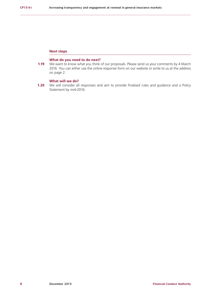#### **Next steps**

#### **What do you need to do next?**

**1.19** We want to know what you think of our proposals. Please send us your comments by 4 March 2016. You can either use the online response form on our website or write to us at the address on page 2.

### **What will we do?**

**1.20** We will consider all responses and aim to provide finalised rules and guidance and a Policy Statement by mid-2016.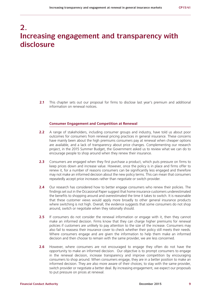# **2. Increasing engagement and transparency with disclosure**

2.1 This chapter sets out our proposal for firms to disclose last year's premium and additional information on renewal notices.

#### **Consumer Engagement and Competition at Renewal**

- **2.2** A range of stakeholders, including consumer groups and industry, have told us about poor outcomes for consumers from renewal pricing practices in general insurance. These concerns have mainly been about the high premiums consumers pay at renewal when cheaper options are available, and a lack of transparency about price changes. Complementing our research project, in the 2015 Summer Budget, the Government asked us to review what we can do to encourage people to shop around when they renew their insurance.
- **2.3** Consumers are engaged when they first purchase a product, which puts pressure on firms to keep prices down and increase value. However, once the policy is in place and firms offer to renew it, for a number of reasons consumers can be significantly less engaged and therefore may not make an informed decision about the new policy terms. This can mean that consumers repeatedly accept price increases rather than negotiate or switch provider.
- **2.4** Our research has considered how to better engage consumers who renew their policies. The findings set out in the Occasional Paper suggest that home insurance customers underestimated the benefits to shopping around and overestimated the time it takes to switch. It is reasonable that these customer views would apply more broadly to other general insurance products where switching is not high. Overall, the evidence suggests that some consumers do not shop around, switch or negotiate when they rationally should.
- **2.5** If consumers do not consider the renewal information or engage with it, then they cannot make an informed decision. Firms know that they can charge higher premiums for renewal policies if customers are unlikely to pay attention to the size of the increase. Consumers may also fail to reassess their insurance cover to check whether their policy still meets their needs. Where consumers engage and are given the information to help them make an informed decision and then choose to remain with the same provider, we are less concerned.
- **2.6** However, where consumers are not encouraged to engage they often do not have the opportunity to make an informed decision. Our objective is to prompt consumers to engage in the renewal decision, increase transparency and improve competition by encouraging consumers to shop around. When consumers engage, they are in a better position to make an informed decision. They are also more aware of their choices; to stay with the same provider, switch provider or negotiate a better deal. By increasing engagement, we expect our proposals to put pressure on prices at renewal.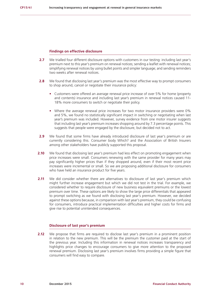#### **Findings on effective disclosure**

- **2.7** We trialled four different disclosure options with customers in our testing: including last year's premium next to this year's premium on renewal notices; sending a leaflet with renewal notices; simplifying renewal notices by using bullet points and simpler language; and sending reminders two weeks after renewal notices.
- **2.8** We found that disclosing last year's premium was the most effective way to prompt consumers to shop around, cancel or negotiate their insurance policy:
	- **•** Customers were offered an average renewal price increase of over 5% for home (property and contents) insurance and including last year's premium in renewal notices caused 11- 18% more consumers to switch or negotiate their policy.
	- **•** Where the average renewal price increases for two motor insurance providers were 0% and 5%, we found no statistically significant impact in switching or negotiating when last year's premium was included. However, survey evidence from one motor insurer suggests that including last year's premium increases shopping around by 7.3 percentage points. This suggests that people were engaged by the disclosure, but decided not to act.
- **2.9** We found that some firms have already introduced disclosure of last year's premium or are currently considering this. Consumer body Which? and the Association of British Insurers among other stakeholders have publicly supported this proposal.
- **2.10** We found that disclosing last year's premium had less effect on promoting engagement when price increases were small. Consumers renewing with the same provider for many years may pay significantly higher prices than if they shopped around, even if their most recent price increases were incremental or small. So we are proposing additional disclosure for consumers who have held an insurance product for five years.
- **2.11** We did consider whether there are alternatives to disclosure of last year's premium which might further increase engagement but which we did not test in the trial. For example, we considered whether to require disclosure of new business equivalent premiums or the lowest premium over time. These options are likely to show the large price differentials that appeared to prompt switching as we found with disclosing last year's premium. However, we decided against these options because, in comparison with last year's premium, they could be confusing for consumers, introduce practical implementation difficulties and higher costs for firms and give rise to potential unintended consequences.

#### **Disclosure of last year's premium**

**2.12** We propose that firms are required to disclose last year's premium in a prominent position in relation to the new premium. This will be the premium the customer paid at the start of the previous year. Including this information in renewal notices increases transparency and highlights price changes to encourage consumers to give more attention to the proposed renewal premium. Disclosing last year's premium involves firms providing a simple figure that consumers will find easy to compare.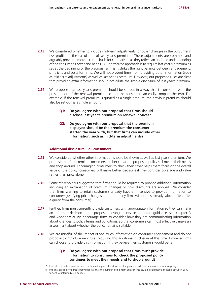- **2.13** We considered whether to include mid-term adjustments (or other changes in the consumers' risk profile) in the calculation of last year's premium.<sup>7</sup> These adjustments are common and arguably provide a more accurate basis for comparison as they reflect an updated understanding of the consumer's cover and needs.<sup>8</sup> Our preferred approach is to require last year's premium as set at the beginning of the previous term as it strikes the right balance between engagement, simplicity and costs for firms. We will not prevent firms from providing other information (such as mid-term adjustments) as well as last year's premium. However, our proposed rules are clear that providing extra information should not dilute the simple disclosure of last year's premium.
- **2.14** We propose that last year's premium should be set out in a way that is consistent with the presentation of the renewal premium so that the consumer can easily compare the two. For example, if the renewal premium is quoted as a single amount, the previous premium should also be set out as a single amount.
	- **Q1: Do you agree with our proposal that firms should disclose last year's premium on renewal notices?**
	- **Q2: Do you agree with our proposal that the premium displayed should be the premium the consumer started the year with, but that firms can include other information, such as mid-term adjustments?**

#### **Additional disclosure – all consumers**

- **2.15** We considered whether other information should be shown as well as last year's premium. We propose that firms remind consumers to check that the proposed policy still meets their needs and shop around. Encouraging consumers to check their cover helps them focus on the overall value of the policy; consumers will make better decisions if they consider coverage and value rather than price alone.
- **2.16** Some stakeholders suggested that firms should be required to provide additional information including an explanation of premium changes or how discounts are applied. We consider that firms wanting to retain customers already have an incentive to provide information to consumers justifying price changes, and that many firms will do this already (albeit often after a query from the consumer).
- **2.17** Further, firms must currently provide customers with appropriate information so they can make an informed decision about proposed arrangements. In our draft guidance (see chapter 3 and Appendix 2), we encourage firms to consider how they are communicating information about changes to policy terms and conditions, so that consumers can most effectively make an assessment about whether the policy remains suitable.
- **2.18** We are mindful of the impact of too much information on consumer engagement and do not propose to introduce new rules requiring this additional disclosure at this time. However firms can choose to provide this information if they believe their customers would benefit.

#### **Q3: Do you agree with our proposal that firms must provide information to consumers to: check the proposed policy continues to meet their needs and to shop around?**

<sup>7</sup> Examples of mid-term adjustments include adding another driver or changing your address on a motor insurance policy.

<sup>8</sup> Information from one trade body suggests that the number of mid-term adjustments could be significant: affecting between 20% to 55% of intermediated policies.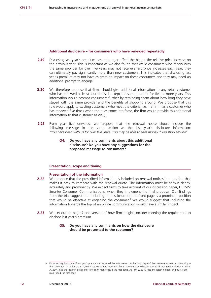#### **Additional disclosure – for consumers who have renewed repeatedly**

- **2.19** Disclosing last year's premium has a stronger effect the bigger the relative price increase on the previous year. This is important as we also found that while consumers who renew with the same provider for over five years may not receive sharp price increases each year, they can ultimately pay significantly more than new customers. This indicates that disclosing last year's premium may not have as great an impact on these consumers and they may need an additional prompt to engage.
- **2.20** We therefore propose that firms should give additional information to any retail customer who has renewed at least four times, i.e. kept the same product for five or more years. This information would prompt consumers further by reminding them about how long they have stayed with the same provider and the benefits of shopping around. We propose that this rule would apply to existing customers who meet the criteria (i.e. if a firm has a customer who has renewed five times when the rules come into force, the firm would provide this additional information to that customer as well).
- **2.21** From year five onwards, we propose that the renewal notice should include the following message in the same section as the last year's disclosure information: *"You have been with us for over five years. You may be able to save money if you shop around"*

#### **Q4: Do you have any comments about this additional disclosure? Do you have any suggestions for the proposed message to consumers?**

#### **Presentation, scope and timing**

#### **Presentation of the information**

- **2.22** We propose that the prescribed information is included on renewal notices in a position that makes it easy to compare with the renewal quote. The information must be shown clearly, accurately and prominently. We expect firms to take account of our discussion paper, DP15/5: Smarter Consumer Communications, when they implement the final proposal. Our findings from the trial suggest that including the disclosure on the front page is a prominent position that would be effective at engaging the consumer.<sup>9</sup> We would suggest that including the information towards the top of an online communication would have a similar impact.
- **2.23** We set out on page 7 one version of how firms might consider meeting the requirement to disclose last year's premium.

#### **Q5: Do you have any comments on how the disclosure should be presented to the customer?**

<sup>9</sup> Firms testing disclosure of last year's premium all included the information on the front page of their renewal notices. Additionally, in the consumer survey for the trial, we asked consumers from two firms who renewed whether they read their renewal letter. At Firm A, 28% read the letter in detail and 44% skim read or read the first page. At Firm B, 23% read the letter in detail and 39% skim read / read the first page.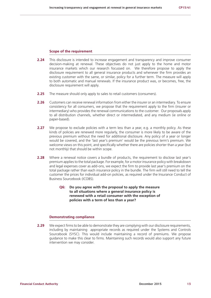#### **Scope of the requirement**

- **2.24** This disclosure is intended to increase engagement and transparency and improve consumer decision-making at renewal. These objectives do not just apply to the home and motor insurance markets which our research focussed on. We therefore propose to apply the disclosure requirement to all general insurance products and whenever the firm provides an existing customer with the same, or similar, policy for a further term. The measure will apply to both automatic and manual renewals. If the insurance product was, or becomes, free, the disclosure requirement will apply.
- **2.25** The measure should only apply to sales to retail customers (consumers).
- **2.26** Customers can receive renewal information from either the insurer or an intermediary. To ensure consistency for all consumers, we propose that the requirement apply to the firm (insurer or intermediary) who provides the renewal communications to the customer. Our proposals apply to all distribution channels, whether direct or intermediated, and any medium (ie online or paper-based).
- **2.27** We propose to exclude policies with a term less than a year, e.g. a monthly policy. As these kinds of policies are renewed more regularly, the consumer is more likely to be aware of the previous premium without the need for additional disclosure. Any policy of a year or longer would be covered, and the 'last year's premium' would be the previous term's premium. We welcome views on this point, and specifically whether there are policies shorter than a year (but not monthly) that should be within scope.
- **2.28** Where a renewal notice covers a bundle of products, the requirement to disclose last year's premium applies to the total package. For example, for a motor insurance policy with breakdown and legal expenses cover as add-ons, we expect the firm to provide last year's premium on the total package rather than each insurance policy in the bundle. The firm will still need to tell the customer the prices for individual add-on policies, as required under the Insurance Conduct of Business Sourcebook (ICOBS).
	- **Q6: Do you agree with the proposal to apply the measure to all situations where a general insurance policy is renewed with a retail consumer with the exception of policies with a term of less than a year?**

#### **Demonstrating compliance**

**2.29** We expect firms to be able to demonstrate they are complying with our disclosure requirements, including by maintaining appropriate records as required under the Systems and Controls Sourcebook (SYSC). This would include maintaining a record of premiums. We propose guidance to make this clear to firms. Maintaining such records would also support any future intervention we may consider.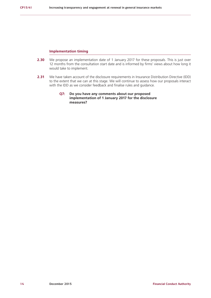#### **Implementation timing**

- **2.30** We propose an implementation date of 1 January 2017 for these proposals. This is just over 12 months from the consultation start date and is informed by firms' views about how long it would take to implement.
- **2.31** We have taken account of the disclosure requirements in Insurance Distribution Directive (IDD) to the extent that we can at this stage. We will continue to assess how our proposals interact with the IDD as we consider feedback and finalise rules and guidance.

#### **Q7: Do you have any comments about our proposed implementation of 1 January 2017 for the disclosure measures?**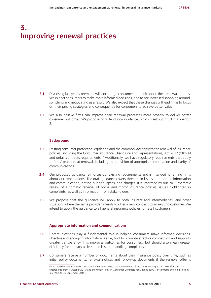# **3. Improving renewal practices**

- **3.1** Disclosing last year's premium will encourage consumers to think about their renewal options. We expect consumers to make more informed decisions, and to see increased shopping around, switching and negotiating as a result. We also expect that these changes will lead firms to focus on their pricing strategies and consequently for consumers to achieve better value.
- **3.2** We also believe firms can improve their renewal processes more broadly to deliver better consumer outcomes. We propose non-Handbook guidance, which is set out in full in Appendix  $\mathcal{L}$

#### **Background**

- **3.3** Existing consumer protection legislation and the common law apply to the renewal of insurance policies, including the Consumer Insurance (Disclosure and Representations) Act 2012 (CIDRA) and unfair contracts requirements.<sup>10</sup> Additionally, we have requilatory requirements that apply to firms' practices at renewal, including the provision of appropriate information and clarity of communications.
- **3.4** Our proposed quidance reinforces our existing requirements and is intended to remind firms about our expectations. The draft guidance covers three main issues: appropriate information and communication, opting-out and lapses, and charges. It is informed by our 2013 thematic review of automatic renewal of home and motor insurance policies, issues highlighted in complaints, as well as information from stakeholders.
- **3.5** We propose that the quidance will apply to both insurers and intermediaries, and cover situations where the same provider intends to offer a new contract to an existing customer. We intend to apply the guidance to all general insurance policies for retail customers.

#### **Appropriate information and communications**

- **3.6** Communications play a fundamental role in helping consumers make informed decisions. Effective and engaging information is a key tool to promote effective competition and supports greater transparency. This improves outcomes for consumers, but should also mean greater efficiency for industry as less time is spent handling complaints.
- **3.7** Consumers receive a number of documents about their insurance policy over time, such as initial policy documents, renewal notices and follow-up documents if the renewal offer is

<sup>10</sup> Firms should ensure that their contractual terms comply with the requirements of the Consumer Rights Act 2015 (for contracts entered into from 1 October 2015) and the Unfair Terms in Consumer Contracts Regulations 1999 (for contracts entered into from 1 July 1995 to 30 September 2015).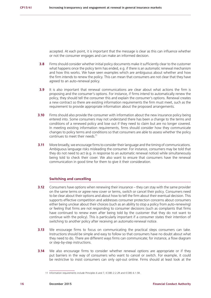accepted. At each point, it is important that the message is clear as this can influence whether or not the consumer engages and can make an informed decision.

- **3.8** Firms should consider whether initial policy documents make it sufficiently clear to the customer what happens once the policy term has ended, e.g. if there is an automatic renewal mechanism and how this works. We have seen examples which are ambiguous about whether and how the firm intends to renew the policy. This can mean that consumers are not clear that they have agreed to an auto-renewal policy.
- **3.9** It is also important that renewal communications are clear about what actions the firm is proposing and the consumer's options. For instance, if firms intend to automatically renew the policy, they should tell the consumer this and explain the consumer's options. Renewal creates a new contract so there are existing information requirements the firm must meet, such as the requirement to provide appropriate information about the proposed arrangements.
- **3.10** Firms should also provide the consumer with information about the new insurance policy being entered into. Some consumers may not understand there has been a change to the terms and conditions of a renewed policy and lose out if they need to claim but are no longer covered. In meeting existing information requirements, firms should consider how they communicate changes to policy terms and conditions so that consumers are able to assess whether the policy continues to meet their needs.<sup>11</sup>
- **3.11** More broadly, we encourage firms to consider their language and the timing of communications. Ambiguous language risks misleading the consumer. For instance, consumers may be told that they do not need to act (e.g. in response to an automatic renewal notice) while simultaneously being told to check their cover. We also want to ensure that consumers have the renewal communication in good time for them to give it their consideration.

#### **Switching and cancelling**

- **3.12** Consumers have options when renewing their insurance they can stay with the same provider on the same terms or agree new cover or terms, switch or cancel their policy. Consumers need to be clear about their options and about how to tell the firm about their eventual decision. This supports effective competition and addresses consumer protection concerns about consumers either being unclear about their choices (such as an ability to stop a policy from auto-renewing) or feeling that firms are not responding to consumer decisions (such as complaints that firms have continued to renew even after being told by the customer that they do not want to continue with the policy). This is particularly important if a consumer states their intention of switching to another policy after receiving an automatic-renewal notice.
- **3.13** We encourage firms to focus on communicating the practical steps consumers can take. Instructions should be simple and easy to follow so that consumers have no doubt about what they need to do. There are different ways firms can communicate; for instance, a flow diagram or step-by-step instructions.
- **3.14** We also encourage firms to consider whether renewal options are appropriate or if they put barriers in the way of consumers who want to cancel or switch. For example, it could be restrictive to insist consumers can only opt-out online. Firms should at least look at the

<sup>11</sup> Information requirements include Principles 6 and 7, ICOBS 2.2.2R and ICOBS 6.1.5R.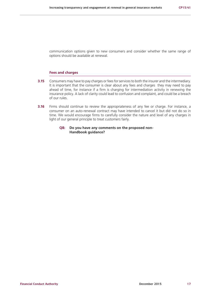communication options given to new consumers and consider whether the same range of options should be available at renewal.

#### **Fees and charges**

- **3.15** Consumers may have to pay charges or fees for services to both the insurer and the intermediary. It is important that the consumer is clear about any fees and charges they may need to pay ahead of time, for instance if a firm is charging for intermediation activity in renewing the insurance policy. A lack of clarity could lead to confusion and complaint, and could be a breach of our rules.
- **3.16** Firms should continue to review the appropriateness of any fee or charge. For instance, a consumer on an auto-renewal contract may have intended to cancel it but did not do so in time. We would encourage firms to carefully consider the nature and level of any charges in light of our general principle to treat customers fairly.
	- **Q8: Do you have any comments on the proposed non-Handbook guidance?**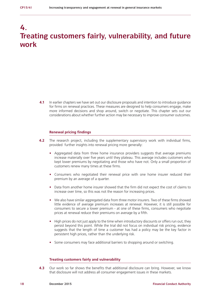# **4. Treating customers fairly, vulnerability, and future work**

**4.1** In earlier chapters we have set out our disclosure proposals and intention to introduce quidance for firms on renewal practices. These measures are designed to help consumers engage, make more informed decisions and shop around, switch or negotiate. This chapter sets out our considerations about whether further action may be necessary to improve consumer outcomes.

#### **Renewal pricing findings**

- **4.2** The research project, including the supplementary supervisory work with individual firms, provided further insights into renewal pricing more generally:
	- Aggregated data from three home insurance providers suggests that average premiums increase materially over five years until they plateau. This average includes customers who kept lower premiums by negotiating and those who have not. Only a small proportion of customers renew many times at these firms.
	- **•** Consumers who negotiated their renewal price with one home insurer reduced their premium by an average of a quarter.
	- **•** Data from another home insurer showed that the firm did not expect the cost of claims to increase over time, so this was not the reason for increasing prices.
	- **•** We also have similar aggregated data from three motor insurers. Two of these firms showed little evidence of average premium increases at renewal. However, it is still possible for consumers to secure a lower premium - at one of these firms, consumers who negotiate prices at renewal reduce their premiums on average by a fifth.
	- High prices do not just apply to the time when introductory discounts or offers run out; they persist beyond this point. While the trial did not focus on individual risk pricing, evidence suggests that the length of time a customer has had a policy may be the key factor in persistent high prices, rather than the underlying risk.
	- **•** Some consumers may face additional barriers to shopping around or switching.

#### **Treating customers fairly and vulnerability**

**4.3** Our work so far shows the benefits that additional disclosure can bring. However, we know that disclosure will not address all consumer engagement issues in these markets.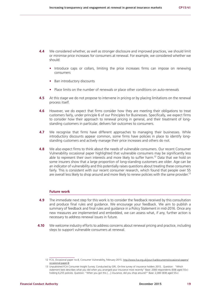- **4.4** We considered whether, as well as stronger disclosure and improved practices, we should limit or minimise price increases for consumers at renewal. For example, we considered whether we should:
	- **•** Introduce caps or collars, limiting the price increases firms can impose on renewing consumers
	- **•** Ban introductory discounts
	- **•** Place limits on the number of renewals or place other conditions on auto-renewals
- **4.5** At this stage we do not propose to intervene in pricing or by placing limitations on the renewal process itself.
- **4.6** However, we do expect that firms consider how they are meeting their obligations to treat customers fairly, under principle 6 of our Principles for Businesses. Specifically, we expect firms to consider how their approach to renewal pricing in general, and their treatment of longstanding customers in particular, delivers fair outcomes to consumers.
- **4.7** We recognise that firms have different approaches to managing their businesses. While introductory discounts appear common, some firms have policies in place to identify longstanding customers and actively manage their price increases and others do not.
- **4.8** We also expect firms to think about the needs of vulnerable consumers. Our recent Consumer Vulnerability occasional paper highlighted that vulnerable consumers may be significantly less able to represent their own interests and more likely to suffer harm.<sup>12</sup> Data that we hold on some insurers show that a large proportion of long-standing customers are older. Age can be an indicator of vulnerability and this potentially raises questions about treating these consumers fairly. This is consistent with our recent consumer research, which found that people over 55 are overall less likely to shop around and more likely to renew policies with the same provider.<sup>13</sup>

#### **Future work**

- **4.9** The immediate next step for this work is to consider the feedback received by this consultation and produce final rules and guidance. We encourage your feedback. We aim to publish a summary of feedback and final rules and guidance in a Policy Statement in mid-2016. Once any new measures are implemented and embedded, we can assess what, if any, further action is necessary to address renewal issues in future.
- **4.10** We welcome industry efforts to address concerns about renewal pricing and practice, including steps to support vulnerable consumers at renewal.

<sup>12</sup> FCA, Occasional paper no.8, Consumer Vulnerability, February 2015. [http://www.fca.org.uk/your-fca/documents/occasional-papers/](http://www.fca.org.uk/your-fca/documents/occasional-papers/occasional-paper-8) [occasional-paper-8](http://www.fca.org.uk/your-fca/documents/occasional-papers/occasional-paper-8)

<sup>13</sup> Unpublished FCA Consumer Insight Survey. Conducted by GfK. On-line survey of insurance holders 2015. Question: "Which statement best describes what you did when you arranged your insurance most recently" Base: 2000 respondents (838 aged 55+) holding 6,255 policies. Question: "When you got this […] insurance, did you shop around?" Base: 2,000 (838 aged 55+)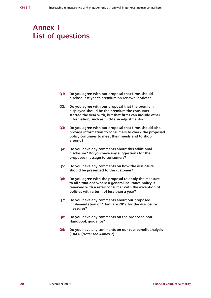# **Annex 1 List of questions**

- **Q1: Do you agree with our proposal that firms should disclose last year's premium on renewal notices?**
- **Q2: Do you agree with our proposal that the premium displayed should be the premium the consumer started the year with, but that firms can include other information, such as mid-term adjustments?**
- **Q3: Do you agree with our proposal that firms should also provide information to consumers to check the proposed policy continues to meet their needs and to shop around?**
- **Q4: Do you have any comments about this additional disclosure? Do you have any suggestions for the proposed message to consumers?**
- **Q5: Do you have any comments on how the disclosure should be presented to the customer?**
- **Q6: Do you agree with the proposal to apply the measure to all situations where a general insurance policy is renewed with a retail consumer with the exception of policies with a term of less than a year?**
- **Q7: Do you have any comments about our proposed implementation of 1 January 2017 for the disclosure measures?**
- **Q8: Do you have any comments on the proposed non-Handbook guidance?**
- **Q9: Do you have any comments on our cost benefit analysis (CBA)? (Note: see Annex 2)**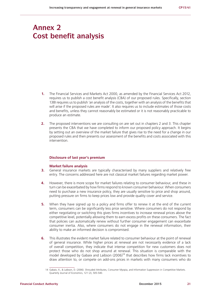# **Annex 2 Cost benefit analysis**

- **1.** The Financial Services and Markets Act 2000, as amended by the Financial Services Act 2012, requires us to publish a cost benefit analysis (CBA) of our proposed rules. Specifically, section 138I requires us to publish 'an analysis of the costs, together with an analysis of the benefits that will arise if the proposed rules are made'. It also requires us to include estimates of those costs and benefits, unless they cannot reasonably be estimated or it is not reasonably practicable to produce an estimate.
- **2.** The proposed interventions we are consulting on are set out in chapters 2 and 3. This chapter presents the CBA that we have completed to inform our proposed policy approach. It begins by setting out an overview of the market failure that gives rise to the need for a change in our proposed rules and then presents our assessment of the benefits and costs associated with this intervention.

#### **Disclosure of last year's premium**

#### **Market failure analysis**

- **3.** General insurance markets are typically characterised by many suppliers and relatively free entry. The concerns addressed here are not classical market failures regarding market power.
- **4.** However, there is more scope for market failures relating to consumer behaviour, and these in turn can be exacerbated by how firms respond to known consumer behaviour. When consumers need to purchase a new insurance policy, they are usually sensitive to price and shop around, putting pressure on firms to keep prices low and provide quality cover and service.
- **5.** When they have signed up to a policy and firms offer to renew it at the end of the current term, consumers can be significantly less price sensitive. Where consumers do not respond by either negotiating or switching this gives firms incentives to increase renewal prices above the competitive level, potentially allowing them to earn excess profits on these consumers. The fact that policies can automatically renew without further consumer engagement can exacerbate consumer inertia. Also, where consumers do not engage in the renewal information, their ability to make an informed decision is compromised.
- **6.** This illustrates the evident market failure related to consumer behaviour at the point of renewal of general insurance. While higher prices at renewal are not necessarily evidence of a lack of overall competition, they indicate that intense competition for new customers does not protect those who do not shop around at renewal. This situation is comparable with the model developed by Gabaix and Laibson  $(2006)^{14}$  that describes how firms lack incentives to draw attention to, or compete on add-ons prices in markets with many consumers who do

<sup>14</sup> Gabaix, X., & Laibson, D. (2006). Shrouded Attributes, Consumer Myopia, and Information Suppression in Competitive Markets. Quarterly Journal of Economics, 121 (2), 505-540.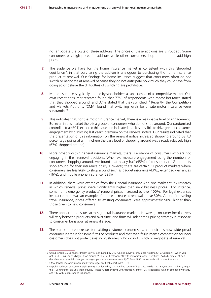not anticipate the costs of these add-ons. The prices of these add-ons are 'shrouded'. Some consumers pay high prices for add-ons while other consumers shop around and avoid high prices.

- **7.** The evidence we have for the home insurance market is consistent with this 'shrouded equilibrium', in that purchasing the add-on is analogous to purchasing the home insurance product at renewal. Our findings for home insurance suggest that consumers often do not switch or negotiate at renewal because they do not anticipate how much they could save from doing so or believe the difficulties of switching are prohibitive.
- **8.** Motor insurance is typically quoted by stakeholders as an example of a competitive market. Our own recent consumer research found that 77% of respondents with motor insurance stated that they shopped around, and 37% stated that they switched.15 Recently, the Competition and Markets Authority (CMA) found that switching levels for private motor insurance were substantial.16
- **9.** This indicates that, for the motor insurance market, there is a reasonable level of engagement. But even in this market there is a group of consumers who do not shop around. Our randomised controlled trial (RCT) explored this issue and indicated that it is possible to drive greater consumer engagement by disclosing last year's premium on the renewal notice. Our results indicated that the presentation of this information on the renewal notice increased shopping around by 7.3 percentage points at a firm where the base level of shopping around was already relatively high (67% shopped around).
- **10.** More broadly within general insurance markets, there is evidence of consumers who are not engaging in their renewal decisions. When we measure engagement using the numbers of consumers shopping around, we found that nearly half (45%) of consumers of GI products shop around for their insurance policy. However, there are certain GI product markets where consumers are less likely to shop around such as gadget insurance (43%), extended warranties (16%), and mobile phone insurance (29%).<sup>17</sup>
- **11.** In addition, there were examples from the General Insurance Add-ons market study research in which renewal prices were significantly higher than new business prices. For instance, some home emergency products' renewal prices increased by over 100%. For legal expenses insurance there was an example of a price increase at renewal above 30%. At one firm selling travel insurance, prices offered to existing consumers were approximately 50% higher than those given to new consumers.
- **12.** There appear to be issues across general insurance markets. However, consumer inertia levels will vary between products and over time, and firms will adapt their pricing strategy in response to consumer behaviour at renewal stage.
- **13.** The scale of price increases for existing customers concerns us, and indicates how widespread consumer inertia is for some firms or products and that even fairly intense competition for new customers does not protect existing customers who do not switch or negotiate at renewal.

<sup>15</sup> Unpublished FCA Consumer Insight Survey. Conducted by GfK. On-line survey of insurance holders 2015. Question: "When you got this […] insurance, did you shop around?" Base: 211 respondents with motor insurance. Question: "Which statement best describes what you did when you arranged your insurance most recently?" Base 1258 respondents with motor insurance.

<sup>16</sup> CMA, Private motor insurance market investigation: final report, para 5.33.

<sup>17</sup> Unpublished FCA Consumer Insight Survey. Conducted by GfK. On-line survey of insurance holders 2015. Question: "When you got this […] insurance, did you shop around?" Base: 70 respondents with gadget insurance, 95 respondents with an extended warranty, and 107 with mobile phone insurance.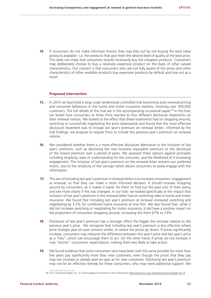**14.** If consumers do not make informed choices they may lose out by not buying the best value products available– i.e. the products that give them the desired level of quality at the best price. This does not imply that consumers should necessarily buy the cheapest products. Consumers may deliberately choose to buy a relatively expensive product on the basis of other valued characteristics. Our concern is that consumers who are not fully aware of the prices and other characteristics of other available products buy expensive products by default and lose out as a result.

#### **Proposed intervention**

- **15.** In 2014 we launched a large scale randomised controlled trial examining auto-renewal pricing and consumer behaviour in the home and motor insurance markets, involving over 300,000 customers. The full details of this trial are in the accompanying occasional paper.<sup>18</sup> In the trial, we tested how consumers at three firms reacted to four different disclosure treatments on their renewal notices. We looked at the effect that these treatments had on shopping around, switching or successfully negotiating the price downwards and found that the most effective disclosure treatment was to include last year's premium on renewal letters. Informed by the trial findings, we propose to require firms to include the previous year's premium on renewal notices.
- **16.** We considered whether there is a more effective disclosure alternative to the inclusion of last year's premium, such as disclosing the new business equivalent premium or the disclosure of the lowest premium over a period of years. We assessed these options against principles including simplicity, ease of understanding for the consumer, and the likelihood of it increasing engagement. The inclusion of last year's premium on the renewal letter remains our preferred metric, due to the simplicity of the concept which allows consumers to easily engage with the information.
- **17.** The aim of including last year's premium in renewal letters is to increase consumers' engagement at renewal, so that they can make a more informed decision. It should increase shopping around by consumers, as it makes it easier for them to find out the past cost of their policy and see more clearly if this has changed. In our trial, we looked specifically at the impact that inclusion of last year's premium in the renewal letter had on switching rates in home and motor insurance. We found that including last year's premium at renewal increased switching and negotiating by 3.2% for combined home insurance at one firm. We also found that, while it did not increase switching or negotiating for motor insurance, it did have a positive impact on the proportion of consumers shopping around, increasing this from 67% to 73%.
- **18.** Disclosure of last year's premium has a stronger effect the bigger the increase relative to the previous year's price. We recognise that including last year's premium is less effective where price changes year-on-year remains similar, or where the prices go down. If prices significantly increase, consumers may interpret the difference between this year's price and last year's price as a "loss", which can encourage them to act. On the other hand, if prices do not increase it may "anchor" consumers' expectations, making them less likely to take action.
- **19.** We found evidence that some consumers who have been with the same provider for more than five years pay significantly more than new customers, even though the prices that they pay may not increase as steeply year-on-year as for new customers. Disclosing last year's premium may not be an effective remedy for these consumers, who may need additional support. We

<sup>18</sup> F[CA, Occasional Paper no. 12, Encouraging Consumers to Act at Renewal, https://www.fca.org.uk/news/occasional-paper-no-12](https://www.fca.org.uk/news/occasional-paper-no-12)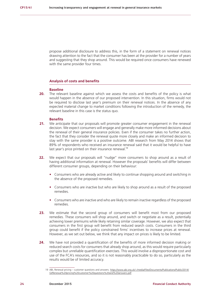propose additional disclosure to address this, in the form of a statement on renewal notices drawing attention to the fact that the consumer has been at the provider for a number of years and suggesting that they shop around. This would be required once consumers have renewed with the same provider four times.

#### **Analysis of costs and benefits**

#### **Baseline**

**20.** The relevant baseline against which we assess the costs and benefits of the policy is what would happen in the absence of our proposed intervention. In this situation, firms would not be required to disclose last year's premium on their renewal notices. In the absence of any expected material change to market conditions following the introduction of the remedy, the relevant baseline in this case is the status quo.

#### **Benefits**

- **21.** We anticipate that our proposals will promote greater consumer engagement in the renewal decision. We expect consumers will engage and generally make more informed decisions about the renewal of their general insurance policies. Even if the consumer takes no further action, the fact that they consider the renewal quote more closely and make an informed decision to stay with the same provider is a positive outcome. ABI research from May 2014 shows that 89% of respondents who received an insurance renewal said that it would be helpful to have last year's price printed on their insurance renewal.<sup>19</sup>
- 22. We expect that our proposals will "nudge" more consumers to shop around as a result of having additional information at renewal. However the proposals' benefits will differ between different consumer groups, depending on their behaviour:
	- **•** Consumers who are already active and likely to continue shopping around and switching in the absence of the proposed remedies.
	- Consumers who are inactive but who are likely to shop around as a result of the proposed remedies.
	- **•** Consumers who are inactive and who are likely to remain inactive regardless of the proposed remedies.
- 23. We estimate that the second group of consumers will benefit most from our proposed remedies. These consumers will shop around, and switch or negotiate as a result, potentially achieving lower premiums while likely retaining similar coverage. However, we also expect that consumers in the first group will benefit from reduced search costs. Consumers in the third group could benefit if the policy constrained firms' incentives to increase prices at renewal. However, as we set out below, we think that any impact on prices is likely to be limited.
- **24.** We have not provided a quantification of the benefits of more informed decision making or reduced search costs for consumers that already shop around, as this would require particularly complex but unreliable quantification exercises. This would involve a disproportionate cost and use of the FCA's resources, and so it is not reasonably practicable to do so, particularly as the results would be of limited accuracy.

<sup>19</sup> ABI, Renewal pricing – customer questions and answers. [https://www.abi.org.uk/~/media/Files/Documents/Publications/Public/2014/](https://www.abi.org.uk/~/media/Files/Documents/Publications/Public/2014/GI/Renewal%20pricing%20customer%20questions%20and%20answers.pdf) [GI/Renewal%20pricing%20customer%20questions%20and%20answers.pdf](https://www.abi.org.uk/~/media/Files/Documents/Publications/Public/2014/GI/Renewal%20pricing%20customer%20questions%20and%20answers.pdf)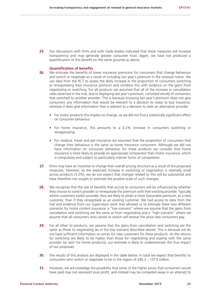**25.** Our discussions with firms and with trade bodies indicated that these measures will increase transparency and may generate greater consumer trust. Again, we have not produced a quantification of this benefit on the same grounds as above.

#### **Quantification of benefits**

- **26.** We estimate the benefits of lower insurance premiums for consumers that change behaviour and switch or negotiate as a result of including last year's premium in the renewal notice. We use data from the RCT to assess the likely increase in the proportion of consumers switching or renegotiating their insurance premium and combine this with evidence on the gains from negotiating or switching. For all products we assumed that all of the increase in cancellation rates observed in the trial, due to displaying last year's premium, consisted wholly of consumers that switched to another provider. This is because knowing last year's premium does not give consumers any information that would be relevant to a decision to cease to buy insurance, whereas it does give information that is relevant to a decision to seek an alternative provider.
	- **•** For motor products this implies no change, as we did not find a statistically significant effect on consumer behaviour.
	- **•** For home insurance, this amounts to a 3.2% increase in consumers switching or renegotiating.
	- **•** For medical, travel and pet insurance we assumed that the proportion of consumers that change their behaviour is the same as home insurance consumers. Although we did not have information on consumer behaviour for these products we consider that home insurance is more likely to provide an appropriate comparator than motor insurance, which is compulsory and subject to particularly intense forms of competition.
- **27.** Firms may have an incentive to change their overall pricing structure as a result of the proposed measures. However, as the expected increase in switching or negotiation is relatively small across products (3.2%), we do not expect that changes related to this will be substantial and have therefore not sought to estimate the positive scale of such changes.
- 28. We recognise that the size of benefits that accrue to consumers will be influenced by whether they choose to switch provider or renegotiate the premium with their existing provider. Typically where customers switch provider, they are likely to attain a more favourable premium, as a new customer, than if they renegotiate as an existing customer. We had access to data from the trial and evidence from our Supervision work that allowed us to estimate these two different scenarios for home content insurance: a "low scenario" where we assume that the gains from cancellation and switching are the same as from negotiating and a "high scenario" where we assume that all consumers who cancel or switch will receive the price new consumers pay.
- **29.** For all other GI products, we assume that the gains from cancellation and switching are the same as those to negotiating (as in the low scenario described above). This is because we do not have sufficient information on prices for new customers for these products. As the returns for switching are likely to be higher than those for negotiating and staying with the same provider (as seen for home products), our estimate is likely to underestimate the true impact of our proposals.
- **30.** The results of this analysis are displayed in the table below. In total we expect that benefits to consumers who switch or negotiate to be in the region of £85.3 – 137.9 million.
- **31.** However, we acknowledge the possibility that some of the higher prices that consumers would have paid may not represent pure profit, and instead may be competed away in an attempt to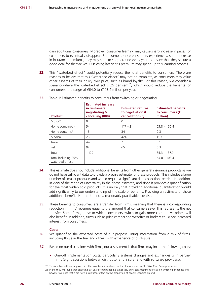gain additional consumers. Moreover, consumer learning may cause sharp increase in prices for customers to eventually disappear. For example, once consumers experience a sharp increase in insurance premiums, they may start to shop around every year to ensure that they secure a good deal for themselves. Disclosing last year's premium may speed up this learning process.

**32.** This "waterbed effect" could potentially reduce the total benefits to consumers. There are reasons to believe that this "waterbed effect" may not be complete, as consumers may value other aspects of their policy over price, such as brand loyalty. For this reason, we consider a scenario where the waterbed effect is 25 per cent<sup>20</sup>, which would reduce the benefits for consumers to a range of £64.0 to £103.4 million per year.

| <b>Product</b>                         | <b>Estimated increase</b><br>in customers<br>negotiating &<br>cancelling (000) | <b>Estimated returns</b><br>to negotiation &<br>cancellation (£) | <b>Estimated benefits</b><br>to consumers (£<br>million) |
|----------------------------------------|--------------------------------------------------------------------------------|------------------------------------------------------------------|----------------------------------------------------------|
| Motor*                                 | 0                                                                              | $\Omega$                                                         | $0^{22}$                                                 |
| Home combined*                         | 544                                                                            | $117 - 214$                                                      | $63.8 - 166.4$                                           |
| Home contents*                         | 15                                                                             | 34                                                               | 0.3                                                      |
| Medical                                | 28                                                                             | 424                                                              | 11.7                                                     |
| Travel                                 | 445                                                                            | 7                                                                | 3.1                                                      |
| Pet                                    | 97                                                                             | 65                                                               | 6.3                                                      |
| Total                                  | 1,129                                                                          | $\overline{\phantom{0}}$                                         | $85.3 - 137.9$                                           |
| Total including 25%<br>waterbed effect |                                                                                |                                                                  | $64.0 - 103.4$                                           |

**33.** Table 1: Estimated benefits to consumers from switching or negotiating

- **34.** This estimate does not include additional benefits from other general insurance products as we do not have sufficient data to provide a precise estimate for these products. This includes a large number of smaller products and would require a significant data collection exercise. In addition, in view of the range of uncertainty in the above estimate, and since it provides a quantification for the most widely sold products, it is unlikely that providing additional quantification would add significantly to our understanding of the scale of benefits. Providing an estimate of these additional benefits is therefore not a reasonably practicable exercise.
- **35.** These benefits to consumers are a transfer from firms, meaning that there is a corresponding reduction in firms' revenues equal to the amount that consumers save. This represents the net transfer. Some firms, those to which consumers switch to gain more competitive prices, will also benefit. In addition, firms such as price comparison websites or brokers could see increased interest from consumers.

#### **Costs**

- **36.** We quantified the expected costs of our proposal using information from a mix of firms, including those in the trial and others with experience of disclosure.
- **37.** Based on our discussions with firms, our assessment is that firms may incur the following costs:
	- **•** One-off implementation costs, particularly systems changes and exchanges with partner firms (e.g. discussions between distributor and insurer and with software providers).

<sup>20</sup> This is in line with our approach in other cost benefit analyses, such as the one used in CP15/24: Cash Savings remedies.

<sup>21</sup> In the trial, we found that disclosing last year premium had no statistically significant treatment effects on switching or negotiating, however we note that it did have a significant effect on the proportion of people shopping around.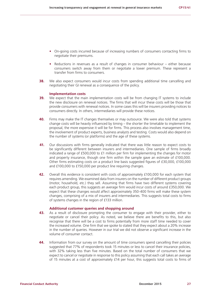- **•** On-going costs incurred because of increasing numbers of consumers contacting firms to negotiate their premiums.
- **•** Reductions in revenues as a result of changes in consumer behaviour either because consumers switch away from them or negotiate a lower premium. These represent a transfer from firms to consumers.
- **38.** We also expect consumers would incur costs from spending additional time cancelling and negotiating their GI renewal as a consequence of the policy.

#### **Implementation costs**

- **39.** We expect that the main implementation costs will be from changing IT systems to include the new disclosure on renewal notices. The firms that will incur these costs will be those that provide consumers with renewal notices. In some cases this will be insurers providing notices to consumers directly. In others, intermediaries will provide these notices.
- **40.** Firms may make the IT changes themselves or may outsource. We were also told that systems change costs will be heavily influenced by timing – the shorter the timetable to implement the proposal, the more expensive it will be for firms. This process also involves management time, the involvement of product experts, business analysts and testing. Costs would also depend on the number of systems (or platforms) and the age of these systems.
- **41.** Our discussions with firms generally indicated that there was little reason to expect costs to be significantly different between insurers and intermediaries. One sample of firms broadly indicated a range of £500,000 to £1 million per firm for implementing the changes for motor and property insurance, though one firm within the sample gave an estimate of £100,000. Other firms estimating costs on a product line basis suggested figures of £30,000, £100,000 and £100,000 to £150,000 per product line requiring changes.
- **42.** Overall this evidence is consistent with costs of approximately £100,000 for each system that requires amending. We examined data from insurers on the number of different product groups (motor, household, etc.) they sell. Assuming that firms have two different systems covering each product group, this suggests an average firm would incur costs of around £350,000. We expect that these changes would affect approximately 350-400 firms will make these system changes, comprising of a mix of insurers and intermediaries. This suggests total costs to firms of systems changes in the region of £133 million.

#### **Additional customer queries and shopping around**

- **43.** As a result of disclosure prompting the consumer to engage with their provider, either to negotiate or cancel their policy. As noted, we believe there are benefits to this, but also recognise that there will be a cost to firms potentially from more staff time needed to cover the increased volume. One firm that we spoke to stated that they expect about a 20% increase in the number of queries. However in our trial we did not observe a significant increase in the volume of consumer contact.
- **44.** Information from our survey on the amount of time consumers spend cancelling their policies suggested that 77% of respondents took 15 minutes or less to cancel their insurance policies, with 32% taking less than five minutes. Based on the total number of consumers that we expect to cancel or negotiate in response to this policy assuming that each call takes an average of 15 minutes at a cost of approximately £14 per hour, this suggests total costs to firms of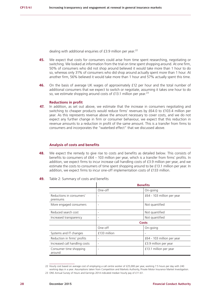dealing with additional enquiries of  $£3.9$  million per year.<sup>22</sup>

- **45.** We expect that costs for consumers could arise from time spent researching, negotiating or switching. We looked at information from the trial on time spent shopping around. At one firm, 50% of consumers who did not shop around believed it would take more than 1 hour to do so, whereas only 31% of consumers who did shop around actually spent more than 1 hour. At another firm, 56% believed it would take more than 1 hour and 57% actually spent this time.
- **46.** On the basis of average UK wages of approximately £12 per hour and the total number of additional consumers that we expect to switch or negotiate, assuming it takes one hour to do so, we estimate shopping around costs of  $£13.1$  million per year.<sup>23</sup>

#### **Reductions in profit**

**47.** In addition, as set out above, we estimate that the increase in consumers negotiating and switching to cheaper products would reduce firms' revenues by £64.0 to £103.4 million per year. As this represents revenue above the amount necessary to cover costs, and we do not expect any further change in firm or consumer behaviour, we expect that this reduction in revenue amounts to a reduction in profit of the same amount. This is a transfer from firms to consumers and incorporates the "waterbed effect" that we discussed above.

#### **Analysis of costs and benefits**

**48.** We expect the remedy to give rise to costs and benefits as detailed below. This consists of benefits to consumers of £64 – 103 million per year, which is a transfer from firms' profits. In addition, we expect firms to incur increase call handling costs of £3.9 million per year, and we estimate the costs to consumers of time spent shopping around to be £13.1 million per year. In addition, we expect firms to incur one-off implementation costs of £133 million.

| 49. |  |  | Table 2: Summary of costs and benefits |  |  |  |  |
|-----|--|--|----------------------------------------|--|--|--|--|
|-----|--|--|----------------------------------------|--|--|--|--|

|                                      |                              | <b>Benefits</b>            |
|--------------------------------------|------------------------------|----------------------------|
|                                      | One-off                      | On-going                   |
| Reductions in consumers'<br>premiums |                              | £64 - 103 million per year |
| More engaged consumers               |                              | Not quantified             |
| Reduced search cost                  | $\overline{\phantom{a}}$     | Not quantified             |
| Increased transparency               | $\overline{\phantom{a}}$     | Not quantified             |
|                                      |                              | <b>Costs</b>               |
|                                      | One-off                      | On-going                   |
| Systems and IT changes               | £133 million                 |                            |
| Reduction in firms' profits          |                              | £64 - 103 million per year |
| Increased call handling costs        | $\qquad \qquad \blacksquare$ | £3.9 million per year      |
| Consumer time shopping<br>around     |                              | £13.1 million per year     |

<sup>22</sup> Hourly cost based on average cost of employing a call centre worker of £25,000 per year, working 7.5 hours per day with 240 working days in a year. Assumptions taken from Competition and Markets Authority, Private Motor Insurance Market Investigation. 23 ONS Annual Survey of Hours and Earnings 2014 indicated median hourly pay of £11.61.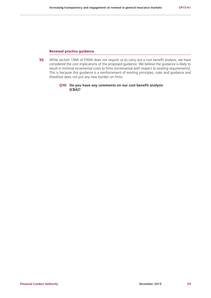#### **Renewal practice guidance**

**50.** While section 139A of FSMA does not require us to carry out a cost benefit analysis, we have considered the cost implications of the proposed guidance. We believe the guidance is likely to result in minimal incremental costs to firms (incremental with respect to existing requirements). This is because this guidance is a reinforcement of existing principles, rules and guidance and therefore does not put any new burden on firms.

#### **Q10: Do you have any comments on our cost benefit analysis (CBA)?**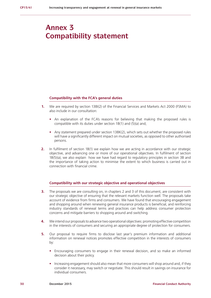# **Annex 3 Compatibility statement**

#### **Compatibility with the FCA's general duties**

- **1.** We are required by section 138I(2) of the Financial Services and Markets Act 2000 (FSMA) to also include in our consultation:
	- **•** An explanation of the FCA's reasons for believing that making the proposed rules is compatible with its duties under section 1B(1) and (5)(a) and;
	- **•** Any statement prepared under section 138K(2), which sets out whether the proposed rules will have a significantly different impact on mutual societies, as opposed to other authorised persons.
- **2.** In fulfilment of section 1B(1) we explain how we are acting in accordance with our strategic objective, and advancing one or more of our operational objectives. In fulfilment of section 1B(5)(a), we also explain how we have had regard to regulatory principles in section 3B and the importance of taking action to minimise the extent to which business is carried out in connection with financial crime.

#### **Compatibility with our strategic objective and operational objectives**

- **3.** The proposals we are consulting on, in chapters 2 and 3 of this document, are consistent with our strategic objective of ensuring that the relevant markets function well. The proposals take account of evidence from firms and consumers. We have found that encouraging engagement and shopping around when renewing general insurance products is beneficial, and reinforcing industry standards of renewal terms and practices can help address consumer protection concerns and mitigate barriers to shopping around and switching.
- **4.** We intend our proposals to advance two operational objectives: promoting effective competition in the interests of consumers and securing an appropriate degree of protection for consumers.
- **5.** Our proposal to require firms to disclose last year's premium information and additional information on renewal notices promotes effective competition in the interests of consumers by:
	- **•** Encouraging consumers to engage in their renewal decision, and so make an informed decision about their policy.
	- **•** Increasing engagement should also mean that more consumers will shop around and, if they consider it necessary, may switch or negotiate. This should result in savings on insurance for individual consumers.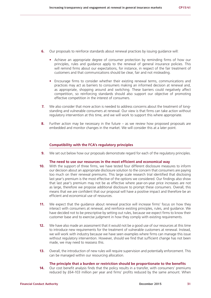- **6.** Our proposals to reinforce standards about renewal practices by issuing guidance will:
	- **•** Achieve an appropriate degree of consumer protection by reminding firms of how our principles, rules and guidance apply to the renewal of general insurance policies. This will remind firms about our expectations, for instance, in respect of the fair treatment of customers and that communications should be clear, fair and not misleading.
	- **•** Encourage firms to consider whether their existing renewal terms, communications and practices may act as barriers to consumers making an informed decision at renewal and, as appropriate, shopping around and switching. These barriers could negatively affect competition, so reinforcing standards should also support our objective of promoting effective competition in the interest of consumers.
- **7.** We also consider that more action is needed to address concerns about the treatment of longstanding and vulnerable consumers at renewal. Our view is that firms can take action without regulatory intervention at this time, and we will work to support this where appropriate.
- **8.** Further action may be necessary in the future as we review how proposed proposals are embedded and monitor changes in the market. We will consider this at a later point.

#### **Compatibility with the FCA's regulatory principles**

**9.** We set out below how our proposals demonstrate regard for each of the regulatory principles.

#### **The need to use our resources in the most efficient and economical way**

- **10.** With the support of three firms, we have tested four different disclosure measures to inform our decision about an appropriate disclosure solution to the concern that consumers are paying too much on their renewal premiums. This large scale research trial identified that disclosing last year's premium is the most effective of the options we considered. Our findings also show that last year's premium may not be as effective where year-on-year price increases are not as large, therefore we propose additional disclosure to prompt these consumers. Overall, this means that we are confident that our proposal will have a positive impact and therefore be an efficient and economical use of resources.
- **11.** We expect that the guidance about renewal practice will increase firms' focus on how they interact with consumers at renewal, and reinforce existing principles, rules, and guidance. We have decided not to be prescriptive by setting out rules, because we expect firms to know their customer base and to exercise judgment in how they comply with existing requirements.
- **12.** We have also made an assessment that it would not be a good use of our resources at this time to introduce new requirements for the treatment of vulnerable customers at renewal. Instead, we will work with industry because we have seen examples where firms can manage this issue without regulatory intervention. However, should we find that sufficient change has not been made, we may need to reassess this.
- **13.** Overall, the introduction of new rules will require supervision and potentially enforcement. This can be managed within our resourcing allocation.

#### **The principle that a burden or restriction should be proportionate to the benefits**

**14.** Our cost benefit analysis finds that the policy results in a transfer, with consumers' premiums reduced by £64-103 million per year and firms' profits reduced by the same amount. When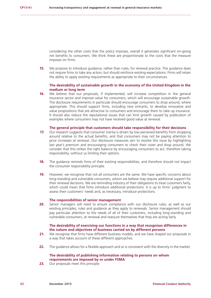considering the other costs that the policy imposes, overall it generates significant on-going net benefits to consumers. We think these are proportionate to the costs that the measure imposes on firms.

**15.** We propose to introduce guidance, rather than rules, for renewal practice. The guidance does not require firms to take any action, but should reinforce existing expectations. Firms will retain the ability to apply existing requirements as appropriate to their circumstances.

#### **The desirability of sustainable growth in the economy of the United Kingdom in the medium or long term**

**16.** We believe that our proposals, if implemented, will increase competition in the general insurance sector and improve value for consumers, which will encourage sustainable growth. The disclosure requirements in particular should encourage consumers to shop around, where appropriate. This should support firms, including new entrants, to develop innovative and value propositions that are attractive to consumers and encourage them to take up insurance. It should also reduce the reputational issues that can limit growth caused by publication of examples where consumers may not have received good value at renewal.

#### **The general principle that customers should take responsibility for their decisions**

- **17.** Our research suggests that consumer inertia is driven by low perceived benefits from shopping around relative to the actual benefits, and that consumers may not be paying attention to price increases at renewal. Our disclosure measures aim to resolve this issue by highlighting last year's premium and encouraging consumers to check their cover and shop around. We consider that this strikes the right balance by encouraging consumers to act, therefore taking responsibility, without us limiting their options.
- **18.** The quidance reminds firms of their existing responsibilities, and therefore should not impact the consumer responsibility principle.
- **19.** However, we recognise that not all consumers are the same. We have specific concerns about long-standing and vulnerable consumers, whom we believe may require additional support for their renewal decisions. We are reminding industry of their obligations to treat customers fairly, which could mean that firms introduce additional protections. It is up to firms' judgment to assess their customers' needs and, as necessary, introduce protections.

#### **The responsibilities of senior management**

**20.** Senior managers will need to ensure compliance with our disclosure rules, as well as our existing principles, rules and guidance as they apply to renewals. Senior management should pay particular attention to the needs of all of their customers, including long-standing and vulnerable consumers, at renewal and reassure themselves that they are acting fairly.

#### **The desirability of exercising our functions in a way that recognises differences in the nature and objectives of business carried on by different persons**

- 21. We recognise that firms have different business models, and we have shaped our proposals in a way that takes account of these different approaches.
- **22.** The guidance allows for a flexible approach and so is consistent with the diversity in the market.

#### **The desirability of publishing information relating to persons on whom requirements are imposed by or under FSMA**

**23.** Our proposals meet this principle.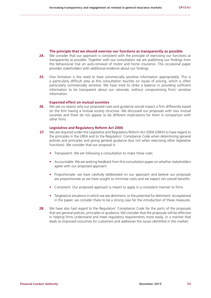#### **The principle that we should exercise our functions as transparently as possible**

- **24.** We consider that our approach is consistent with the principle of exercising our functions as transparently as possible. Together with our consultation we are publishing our findings from the behavioural trial on auto-renewal of motor and home insurance. This occasional paper provides stakeholders with additional evidence about our findings.
- **25.** One limitation is the need to treat commercially sensitive information appropriately. This is a particularly difficult area as this consultation touches on issues of pricing, which is often particularly commercially sensitive. We have tried to strike a balance in providing sufficient information to be transparent about our rationale, without compromising firms' sensitive information.

#### **Expected effect on mutual societies**

**26.** We see no reason why our proposed rules and quidance would impact a firm differently based on the firm having a mutual society structure. We discussed our proposals with two mutual societies and there do not appear to be different implications for them in comparison with other firms.

#### **Legislative and Regulatory Reform Act 2006**

- **27.** We are required under the Legislative and Regulatory Reform Act 2006 (LRRA) to have regard to the principles in the LRRA and to the Regulators' Compliance Code when determining general policies and principles and giving general guidance (but not when exercising other legislative functions). We consider that our proposal is:
	- **•** Transparent: We are following a consultation to make these rules
	- **•** Accountable: We are seeking feedback from this consultation paper on whether stakeholders agree with our proposed approach
	- **•** Proportionate: we have carefully deliberated on our approach and believe our proposals are proportionate as we have sought to minimise costs and we expect net overall benefits
	- **•** Consistent: Our proposed approach is meant to apply in a consistent manner to firms
	- **•** Targeted at situations in which we see detriment, or the potential for detriment: As explained in the paper, we consider there to be a strong case for the introduction of these measures.
- **28.** We have also had regard to the Regulators' Compliance Code for the parts of the proposals that are general policies, principles or guidance. We consider that the proposals will be effective in helping firms understand and meet regulatory requirements more easily, in a manner that leads to improved outcomes for customers and addresses the issues identified in this market.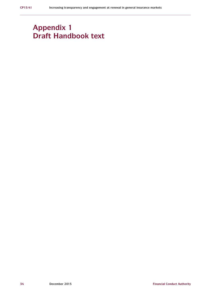# **Appendix 1 Draft Handbook text**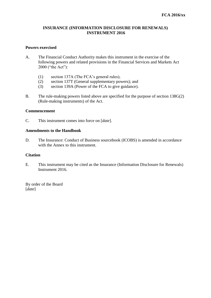### **INSURANCE (INFORMATION DISCLOSURE FOR RENEWALS) INSTRUMENT 2016**

### **Powers exercised**

- A. The Financial Conduct Authority makes this instrument in the exercise of the following powers and related provisions in the Financial Services and Markets Act 2000 ("the Act"):
	- (1) section 137A (The FCA's general rules);
	- (2) section 137T (General supplementary powers); and
	- (3) section 139A (Power of the FCA to give guidance).
- B. The rule-making powers listed above are specified for the purpose of section 138G(2) (Rule-making instruments) of the Act.

### **Commencement**

C. This instrument comes into force on [*date*].

### **Amendments to the Handbook**

D. The Insurance: Conduct of Business sourcebook (ICOBS) is amended in accordance with the Annex to this instrument.

### **Citation**

E. This instrument may be cited as the Insurance (Information Disclosure for Renewals) Instrument 2016.

By order of the Board [*date*]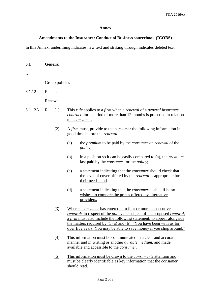### **Annex**

### **Amendments to the Insurance: Conduct of Business sourcebook (ICOBS)**

In this Annex, underlining indicates new text and striking through indicates deleted text.

| 6.1     | <b>General</b>           |                  |     |                                                                                                                                                                                                                                                                                                                                                                                              |
|---------|--------------------------|------------------|-----|----------------------------------------------------------------------------------------------------------------------------------------------------------------------------------------------------------------------------------------------------------------------------------------------------------------------------------------------------------------------------------------------|
|         |                          |                  |     |                                                                                                                                                                                                                                                                                                                                                                                              |
|         |                          | Group policies   |     |                                                                                                                                                                                                                                                                                                                                                                                              |
| 6.1.12  | $\mathbf{R}$             | $\ddotsc$        |     |                                                                                                                                                                                                                                                                                                                                                                                              |
|         |                          | Renewals         |     |                                                                                                                                                                                                                                                                                                                                                                                              |
| 6.1.12A | $\underline{\mathbf{R}}$ | (1)              |     | This rule applies to a firm when a renewal of a general insurance<br>contract for a period of more than 12 months is proposed in relation<br>to a consumer.                                                                                                                                                                                                                                  |
|         |                          | (2)              |     | A firm must, provide to the <i>consumer</i> the following information in<br>good time before the <i>renewal</i> :                                                                                                                                                                                                                                                                            |
|         |                          |                  | (a) | the <i>premium</i> to be paid by the <i>consumer</i> on <i>renewal</i> of the<br><i>policy</i> ;                                                                                                                                                                                                                                                                                             |
|         |                          |                  | (b) | in a position so it can be easily compared to (a), the <i>premium</i><br>last paid by the <i>consumer</i> for the <i>policy</i> ;                                                                                                                                                                                                                                                            |
|         |                          |                  | (c) | a statement indicating that the <i>consumer</i> should check that<br>the level of cover offered by the <i>renewal</i> is appropriate for<br>their needs; and                                                                                                                                                                                                                                 |
|         |                          |                  | (d) | a statement indicating that the <i>consumer</i> is able, if he so<br>wishes, to compare the prices offered by alternative<br>providers.                                                                                                                                                                                                                                                      |
|         |                          | (3)              |     | Where a <i>consumer</i> has entered into four or more consecutive<br><i>renewals</i> in respect of the <i>policy</i> the subject of the proposed <i>renewal</i> ,<br>a firm must also include the following statement, to appear alongside<br>the matters required by $(1)(a)$ and $(b)$ : "You have been with us for<br>over five years. You may be able to save money if you shop around." |
|         |                          | $\left(4\right)$ |     | This information must be communicated in a clear and accurate<br>manner and in writing or another <i>durable medium</i> , and made<br>available and accessible to the <i>consumer</i> .                                                                                                                                                                                                      |
|         |                          | <u>(5)</u>       |     | This information must be drawn to the consumer's attention and<br>must be clearly identifiable as key information that the <i>consumer</i><br>should read.                                                                                                                                                                                                                                   |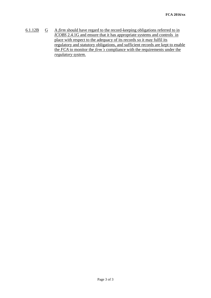6.1.12B G A *firm* should have regard to the record-keeping obligations referred to in *ICOBS* 2.4.1G and ensure that it has appropriate systems and controls in place with respect to the adequacy of its records so it may fulfil its regulatory and statutory obligations, and sufficient records are kept to enable the *FCA* to monitor the *firm's* compliance with the requirements under the *regulatory system*.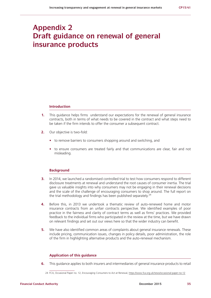# **Appendix 2 Draft guidance on renewal of general insurance products**

#### **Introduction**

- **1.** This guidance helps firms understand our expectations for the renewal of general insurance contracts, both in terms of what needs to be covered in the contract and what steps need to be taken if the firm intends to offer the consumer a subsequent contract.
- **2.** Our objective is two-fold:
	- **•** to remove barriers to consumers shopping around and switching, and
	- **•** to ensure consumers are treated fairly and that communications are clear, fair and not misleading.

#### **Background**

- **3.** In 2014, we launched a randomised controlled trial to test how consumers respond to different disclosure treatments at renewal and understand the root causes of consumer inertia. The trial gave us valuable insights into why consumers may not be engaging in their renewal decisions and the scale of the challenge of encouraging consumers to shop around. The full report on the trial methodology and findings has been published separately.<sup>24</sup>
- **4.** Before this, in 2013 we undertook a thematic review of auto-renewed home and motor insurance contracts from an unfair contracts perspective. We identified examples of poor practice in the fairness and clarity of contract terms as well as firms' practices. We provided feedback to the individual firms who participated in the review at the time, but we have drawn on relevant findings and set out our views here so that the wider industry can benefit.
- **5.** We have also identified common areas of complaints about general insurance renewals. These include pricing, communication issues, changes in policy details, poor administration, the role of the firm in highlighting alternative products and the auto-renewal mechanism.

#### **Application of this guidance**

**6.** This guidance applies to both insurers and intermediaries of general insurance products to retail

<sup>24</sup> F[CA, Occasional Paper no. 12, Encouraging Consumers to Act at Renewal, https://www.fca.org.uk/news/occasional-paper-no-12](https://www.fca.org.uk/news/occasional-paper-no-12)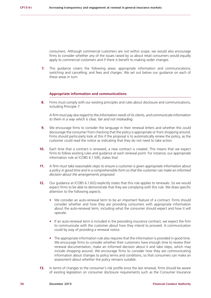consumers. Although commercial customers are not within scope, we would also encourage firms to consider whether any of the issues raised by us about retail consumers would equally apply to commercial customers and if there is benefit to making wider changes.

**7.** This guidance covers the following areas: appropriate information and communications; switching and cancelling; and fees and charges. We set out below our guidance on each of these areas in turn:

#### **Appropriate information and communications**

**8.** Firms must comply with our existing principles and rules about disclosure and communications, including Principle 7:

*A firm must pay due regard to the information needs of its clients, and communicate information to them in a way which is clear, fair and not misleading.* 

- **9.** We encourage firms to consider the language in their renewal letters and whether this could discourage the consumer from checking that the policy is appropriate or from shopping around. Firms should particularly look at this if the proposal is to automatically renew the policy, as the customer could read the notice as indicating that they do not need to take action.
- **10.** Each time that a contract is renewed, a new contract is created. This means that we expect firms to follow existing rules and guidance at each renewal point. For instance, our appropriate information rule at ICOBS 6.1.5(R), states that:
- **11.** *A firm must take reasonable steps to ensure a customer is given appropriate information about a policy in good time and in a comprehensible form so that the customer can make an informed decision about the arrangements proposed.*
- **12.** Our guidance at ICOBS 6.1.6(G) explicitly states that this rule applies to renewals. So we would expect firms to be able to demonstrate that they are complying with this rule. We draw specific attention to the following aspects:
	- **•** We consider an auto-renewal term to be an important feature of a contract. Firms should consider whether and how they are providing consumers with appropriate information about the auto-renewal term, including what the consumer should expect and how it will operate.
	- **•** If an auto-renewal term is included in the preceding insurance contract, we expect the firm to communicate with the customer about how they intend to proceed. A communication could by way of providing a renewal notice.
	- **•** The appropriate information rule also requires that the information is provided in good time. We encourage firms to consider whether their customers have enough time to review their renewal documentation, make an informed decision about it and take steps, which may include shopping around. We encourage firms to consider how they are communicating information about changes to policy terms and conditions, so that consumers can make an assessment about whether the policy remains suitable.
- **13.** In terms of changes to the consumer's risk profile since the last renewal, firms should be aware of existing legislation on consumer disclosure requirements such as the Consumer Insurance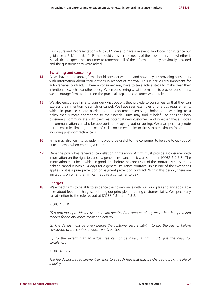(Disclosure and Representations) Act 2012. We also have a relevant Handbook, for instance our guidance at 5.1.1 and 5.1.4. Firms should consider the needs of their customers and whether it is realistic to expect the consumer to remember all of the information they previously provided and the questions they were asked.

#### **Switching and cancelling**

- **14.** As we have stated above, firms should consider whether and how they are providing consumers with information about their options in respect of renewal. This is particularly important for auto-renewal contracts, where a consumer may have to take active steps to make clear their intention to switch to another policy. When considering what information to provide consumers, we encourage firms to focus on the practical steps the consumer would take.
- **15.** We also encourage firms to consider what options they provide to consumers so that they can express their intention to switch or cancel. We have seen examples of onerous requirements, which in practice create barriers to the consumer exercising choice and switching to a policy that is more appropriate to their needs. Firms may find it helpful to consider how consumers communicate with them as potential new customers and whether these modes of communication can also be appropriate for opting-out or lapsing. We also specifically note our recent rules limiting the cost of calls consumers make to firms to a maximum 'basic rate', including post-contractual calls.
- **16.** Firms may also wish to consider if it would be useful to the consumer to be able to opt-out of auto-renewal when entering a contract.
- **17.** Once the policy has renewed, cancellation rights apply. A firm must provide a consumer with information on the right to cancel a general insurance policy, as set out in ICOBS 6.2.5(R). The information must be provided in good time before the conclusion of the contract. A consumer's right to cancel is within 14 days for a general insurance contract, unless one of the exceptions applies or it is a pure protection or payment protection contract. Within this period, there are limitations on what the firm can require a consumer to pay.

#### **Charges**

**18.** We expect firms to be able to evidence their compliance with our principles and any applicable rules about fees and charges, including our principle of treating customers fairly. We specifically call attention to the rule set out at ICOBS 4.3.1 and 4.3.2:

#### ICOBS 4.3.1R

*(1) A firm must provide its customer with details of the amount of any fees other than premium monies for an insurance mediation activity.*

*(2) The details must be given before the customer incurs liability to pay the fee, or before conclusion of the contract, whichever is earlier.*

*(3) To the extent that an actual fee cannot be given, a firm must give the basis for calculation.*

#### ICOBS 4.3.2G

*The fee disclosure requirement extends to all such fees that may be charged during the life of a policy.*